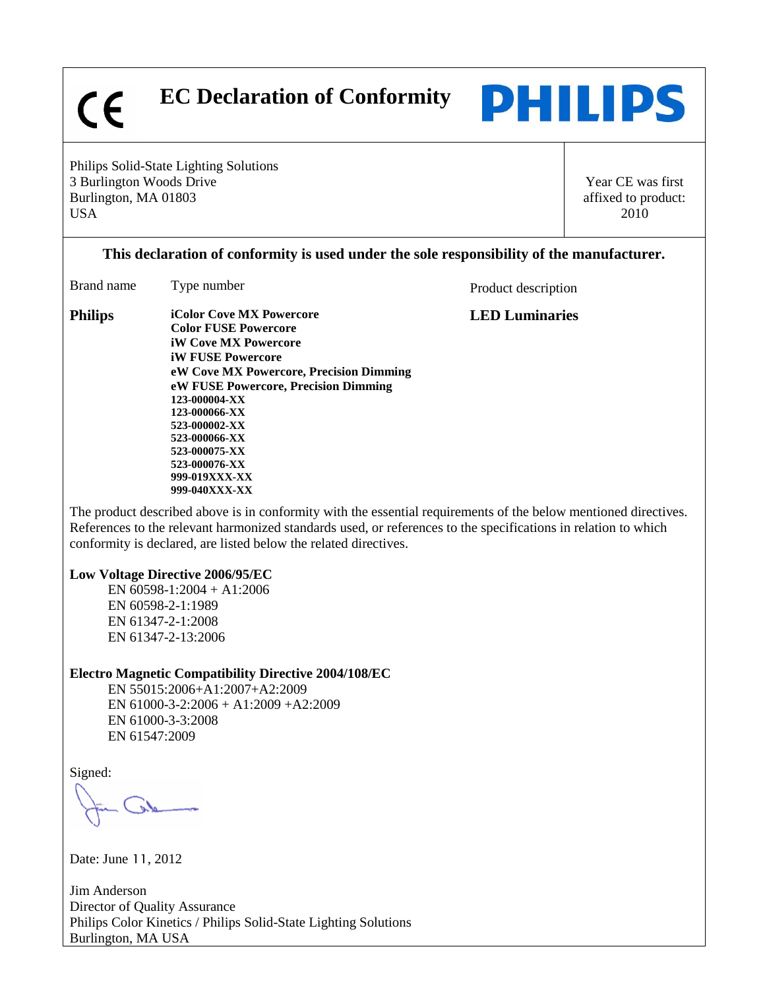$\epsilon$ 

 **EC Declaration of Conformity** 



Philips Solid-State Lighting Solutions 3 Burlington Woods Drive Burlington, MA 01803 USA

Year CE was first affixed to product: 2010

## **This declaration of conformity is used under the sole responsibility of the manufacturer.**

| Brand name     | Type number                                                                                                                                                                                                                                                                                                                                          | Product description   |
|----------------|------------------------------------------------------------------------------------------------------------------------------------------------------------------------------------------------------------------------------------------------------------------------------------------------------------------------------------------------------|-----------------------|
| <b>Philips</b> | <b>iColor Cove MX Powercore</b><br><b>Color FUSE Powercore</b><br><b>iW Cove MX Powercore</b><br><b>iW FUSE Powercore</b><br>eW Cove MX Powercore, Precision Dimming<br>eW FUSE Powercore, Precision Dimming<br>123-000004-XX<br>123-000066-XX<br>523-000002-XX<br>523-000066-XX<br>523-000075-XX<br>523-000076-XX<br>999-019XXX-XX<br>999-040XXX-XX | <b>LED Luminaries</b> |

The product described above is in conformity with the essential requirements of the below mentioned directives. References to the relevant harmonized standards used, or references to the specifications in relation to which conformity is declared, are listed below the related directives.

## **Low Voltage Directive 2006/95/EC**

EN 60598-1:2004 + A1:2006 EN 60598-2-1:1989 EN 61347-2-1:2008 EN 61347-2-13:2006

## **Electro Magnetic Compatibility Directive 2004/108/EC**

EN 55015:2006+A1:2007+A2:2009 EN 61000-3-2:2006 + A1:2009 +A2:2009 EN 61000-3-3:2008 EN 61547:2009

Signed:

Date: June 11, 2012

Jim Anderson Director of Quality Assurance Philips Color Kinetics / Philips Solid-State Lighting Solutions Burlington, MA USA